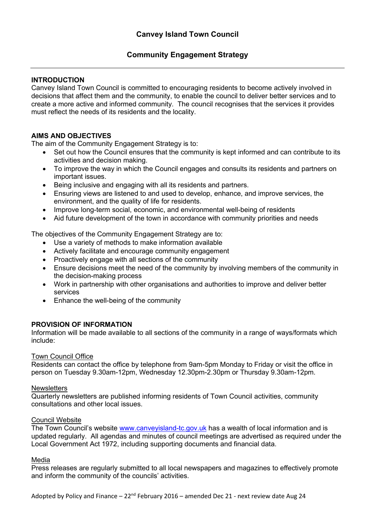# **Community Engagement Strategy**

### **INTRODUCTION**

Canvey Island Town Council is committed to encouraging residents to become actively involved in decisions that affect them and the community, to enable the council to deliver better services and to create a more active and informed community. The council recognises that the services it provides must reflect the needs of its residents and the locality.

### **AIMS AND OBJECTIVES**

The aim of the Community Engagement Strategy is to:

- Set out how the Council ensures that the community is kept informed and can contribute to its activities and decision making.
- To improve the way in which the Council engages and consults its residents and partners on important issues.
- Being inclusive and engaging with all its residents and partners.
- Ensuring views are listened to and used to develop, enhance, and improve services, the environment, and the quality of life for residents.
- Improve long-term social, economic, and environmental well-being of residents
- Aid future development of the town in accordance with community priorities and needs

The objectives of the Community Engagement Strategy are to:

- Use a variety of methods to make information available
- Actively facilitate and encourage community engagement
- Proactively engage with all sections of the community
- Ensure decisions meet the need of the community by involving members of the community in the decision-making process
- Work in partnership with other organisations and authorities to improve and deliver better services
- Enhance the well-being of the community

#### **PROVISION OF INFORMATION**

Information will be made available to all sections of the community in a range of ways/formats which include:

#### Town Council Office

Residents can contact the office by telephone from 9am-5pm Monday to Friday or visit the office in person on Tuesday 9.30am-12pm, Wednesday 12.30pm-2.30pm or Thursday 9.30am-12pm.

#### **Newsletters**

Quarterly newsletters are published informing residents of Town Council activities, community consultations and other local issues.

#### Council Website

The Town Council's website [www.canveyisland-tc.gov.uk](http://www.canveyisland-tc.gov.uk/) has a wealth of local information and is updated regularly. All agendas and minutes of council meetings are advertised as required under the Local Government Act 1972, including supporting documents and financial data.

#### Media

Press releases are regularly submitted to all local newspapers and magazines to effectively promote and inform the community of the councils' activities.

Adopted by Policy and Finance  $-22^{nd}$  February 2016 – amended Dec 21 - next review date Aug 24